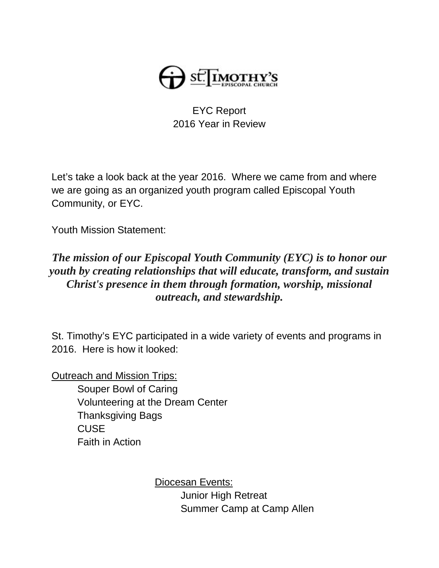

## EYC Report 2016 Year in Review

Let's take a look back at the year 2016. Where we came from and where we are going as an organized youth program called Episcopal Youth Community, or EYC.

Youth Mission Statement:

## *The mission of our Episcopal Youth Community (EYC) is to honor our youth by creating relationships that will educate, transform, and sustain Christ's presence in them through formation, worship, missional outreach, and stewardship.*

St. Timothy's EYC participated in a wide variety of events and programs in 2016. Here is how it looked:

Outreach and Mission Trips:

Souper Bowl of Caring Volunteering at the Dream Center Thanksgiving Bags **CUSE** Faith in Action

> Diocesan Events: Junior High Retreat Summer Camp at Camp Allen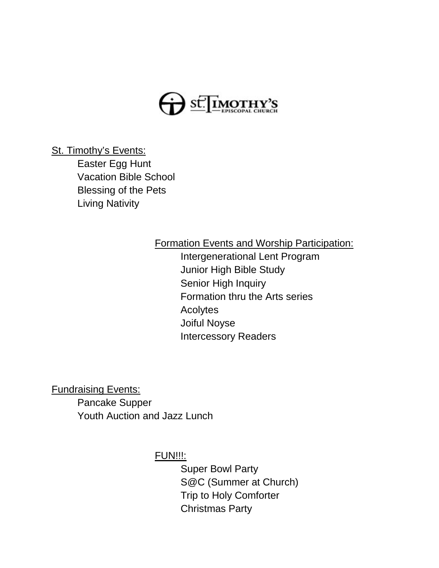

St. Timothy's Events:

Easter Egg Hunt Vacation Bible School Blessing of the Pets Living Nativity

## Formation Events and Worship Participation:

Intergenerational Lent Program Junior High Bible Study Senior High Inquiry Formation thru the Arts series Acolytes Joiful Noyse Intercessory Readers

Fundraising Events: Pancake Supper Youth Auction and Jazz Lunch

FUN!!!:

Super Bowl Party S@C (Summer at Church) Trip to Holy Comforter Christmas Party